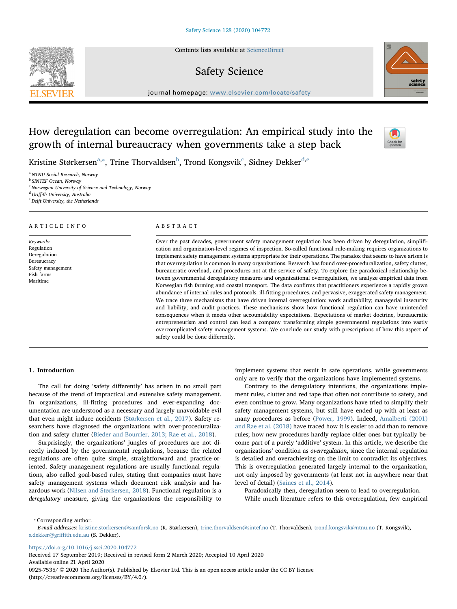Contents lists available at [ScienceDirect](http://www.sciencedirect.com/science/journal/09257535)

# Safety Science

# How deregulation can become overregulation: An empirical study into the growth of internal bureaucracy when governments take a step back

Kristine Størkersen $^{\rm a, *},$  $^{\rm a, *},$  $^{\rm a, *},$  Trine Thorval[d](#page-0-4)sen $^{\rm b}$  $^{\rm b}$  $^{\rm b}$ , Trond Kongsvik $^{\rm c}$  $^{\rm c}$  $^{\rm c}$ , Sidney Dekker $^{\rm d, e}$ 

<span id="page-0-0"></span><sup>a</sup> NTNU Social Research, Norway

<span id="page-0-2"></span>**b** SINTEF Ocean, Norway

<span id="page-0-3"></span><sup>c</sup> Norwegian University of Science and Technology, Norway

<span id="page-0-4"></span><sup>d</sup> Griffith University, Australia

<span id="page-0-5"></span><sup>e</sup> Delft University, the Netherlands

## ARTICLE INFO

Keywords: Regulation Deregulation Bureaucracy Safety management Fish farms Maritime

#### ABSTRACT

Over the past decades, government safety management regulation has been driven by deregulation, simplification and organization-level regimes of inspection. So-called functional rule-making requires organizations to implement safety management systems appropriate for their operations. The paradox that seems to have arisen is that overregulation is common in many organizations. Research has found over-proceduralization, safety clutter, bureaucratic overload, and procedures not at the service of safety. To explore the paradoxical relationship between governmental deregulatory measures and organizational overregulation, we analyze empirical data from Norwegian fish farming and coastal transport. The data confirms that practitioners experience a rapidly grown abundance of internal rules and protocols, ill-fitting procedures, and pervasive, exaggerated safety management. We trace three mechanisms that have driven internal overregulation: work auditability; managerial insecurity and liability; and audit practices. These mechanisms show how functional regulation can have unintended consequences when it meets other accountability expectations. Expectations of market doctrine, bureaucratic entrepreneurism and control can lead a company transforming simple governmental regulations into vastly overcomplicated safety management systems. We conclude our study with prescriptions of how this aspect of safety could be done differently.

#### 1. Introduction

The call for doing 'safety differently' has arisen in no small part because of the trend of impractical and extensive safety management. In organizations, ill-fitting procedures and ever-expanding documentation are understood as a necessary and largely unavoidable evil that even might induce accidents ([Størkersen et al., 2017\)](#page-8-0). Safety researchers have diagnosed the organizations with over-proceduralization and safety clutter ([Bieder and Bourrier, 2013; Rae et al., 2018\)](#page-7-0).

Surprisingly, the organizations' jungles of procedures are not directly induced by the governmental regulations, because the related regulations are often quite simple, straightforward and practice-oriented. Safety management regulations are usually functional regulations, also called goal-based rules, stating that companies must have safety management systems which document risk analysis and hazardous work ([Nilsen and Størkersen, 2018\)](#page-7-1). Functional regulation is a deregulatory measure, giving the organizations the responsibility to implement systems that result in safe operations, while governments only are to verify that the organizations have implemented systems.

Contrary to the deregulatory intentions, the organizations implement rules, clutter and red tape that often not contribute to safety, and even continue to grow. Many organizations have tried to simplify their safety management systems, but still have ended up with at least as many procedures as before [\(Power, 1999\)](#page-7-2). Indeed, [Amalberti \(2001\)](#page-7-3) [and Rae et al. \(2018\)](#page-7-3) have traced how it is easier to add than to remove rules; how new procedures hardly replace older ones but typically become part of a purely 'additive' system. In this article, we describe the organizations' condition as overregulation, since the internal regulation is detailed and overachieving on the limit to contradict its objectives. This is overregulation generated largely internal to the organization, not only imposed by governments (at least not in anywhere near that level of detail) [\(Saines et al., 2014\)](#page-8-1).

Paradoxically then, deregulation seem to lead to overregulation. While much literature refers to this overregulation, few empirical

<span id="page-0-1"></span>⁎ Corresponding author.

<https://doi.org/10.1016/j.ssci.2020.104772>

Received 17 September 2019; Received in revised form 2 March 2020; Accepted 10 April 2020 Available online 21 April 2020 0925-7535/  $\circ$  2020 The Author(s). Published by Elsevier Ltd. This is an open access article under the CC BY license (http://creativecommons.org/licenses/BY/4.0/).





Check for<br>updates



E-mail addresses: [kristine.storkersen@samforsk.no](mailto:kristine.storkersen@samforsk.no) (K. Størkersen), [trine.thorvaldsen@sintef.no](mailto:trine.thorvaldsen@sintef.no) (T. Thorvaldsen), [trond.kongsvik@ntnu.no](mailto:trond.kongsvik@ntnu.no) (T. Kongsvik), [s.dekker@gri](mailto:s.dekker@griffith.edu.au)ffith.edu.au (S. Dekker).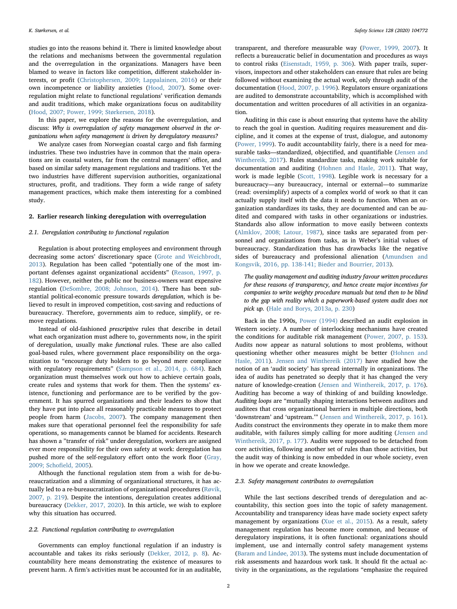studies go into the reasons behind it. There is limited knowledge about the relations and mechanisms between the governmental regulation and the overregulation in the organizations. Managers have been blamed to weave in factors like competition, different stakeholder interests, or profit ([Christophersen, 2009; Lappalainen, 2016\)](#page-7-4) or their own incompetence or liability anxieties [\(Hood, 2007](#page-7-5)). Some overregulation might relate to functional regulations' verification demands and audit traditions, which make organizations focus on auditability ([Hood, 2007; Power, 1999; Størkersen, 2018](#page-7-5)).

In this paper, we explore the reasons for the overregulation, and discuss: Why is overregulation of safety management observed in the organizations when safety management is driven by deregulatory measures?

We analyze cases from Norwegian coastal cargo and fish farming industries. These two industries have in common that the main operations are in coastal waters, far from the central managers' office, and based on similar safety management regulations and traditions. Yet the two industries have different supervision authorities, organizational structures, profit, and traditions. They form a wide range of safety management practices, which make them interesting for a combined study.

# 2. Earlier research linking deregulation with overregulation

# 2.1. Deregulation contributing to functional regulation

Regulation is about protecting employees and environment through decreasing some actors' discretionary space ([Grote and Weichbrodt,](#page-7-6) [2013\)](#page-7-6). Regulation has been called "potentially one of the most important defenses against organizational accidents" ([Reason, 1997, p.](#page-8-2) [182](#page-8-2)). However, neither the public nor business-owners want expensive regulation [\(DeSombre, 2008; Johnson, 2014](#page-7-7)). There has been substantial political-economic pressure towards deregulation, which is believed to result in improved competition, cost-saving and reductions of bureaucracy. Therefore, governments aim to reduce, simplify, or remove regulations.

Instead of old-fashioned prescriptive rules that describe in detail what each organization must adhere to, governments now, in the spirit of deregulation, usually make functional rules. These are also called goal-based rules, where government place responsibility on the organization to "encourage duty holders to go beyond mere compliance with regulatory requirements" [\(Sampson et al., 2014, p. 684\)](#page-8-3). Each organization must themselves work out how to achieve certain goals, create rules and systems that work for them. Then the systems' existence, functioning and performance are to be verified by the government. It has spurred organizations and their leaders to show that they have put into place all reasonably practicable measures to protect people from harm [\(Jacobs, 2007](#page-7-8)). The company management then makes sure that operational personnel feel the responsibility for safe operations, so managements cannot be blamed for accidents. Research has shown a "transfer of risk" under deregulation, workers are assigned ever more responsibility for their own safety at work: deregulation has pushed more of the self-regulatory effort onto the work floor ([Gray,](#page-7-9) [2009; Scho](#page-7-9)field, 2005).

Although the functional regulation stem from a wish for de-bureaucratization and a slimming of organizational structures, it has actually led to a re-bureaucratization of organizational procedures [\(Røvik,](#page-8-4) [2007, p. 219](#page-8-4)). Despite the intentions, deregulation creates additional bureaucracy ([Dekker, 2017, 2020](#page-7-10)). In this article, we wish to explore why this situation has occurred.

#### 2.2. Functional regulation contributing to overregulation

Governments can employ functional regulation if an industry is accountable and takes its risks seriously ([Dekker, 2012, p. 8](#page-7-11)). Accountability here means demonstrating the existence of measures to prevent harm. A firm's activities must be accounted for in an auditable, transparent, and therefore measurable way [\(Power, 1999, 2007](#page-7-2)). It reflects a bureaucratic belief in documentation and procedures as ways to control risks [\(Eisenstadt, 1959, p. 306\)](#page-7-12). With paper trails, supervisors, inspectors and other stakeholders can ensure that rules are being followed without examining the actual work, only through audit of the documentation ([Hood, 2007, p. 1996\)](#page-7-5). Regulators ensure organizations are audited to demonstrate accountability, which is accomplished with documentation and written procedures of all activities in an organization.

Auditing in this case is about ensuring that systems have the ability to reach the goal in question. Auditing requires measurement and discipline, and it comes at the expense of trust, dialogue, and autonomy ([Power, 1999\)](#page-7-2). To audit accountability fairly, there is a need for measurable tasks—standardized, objectified, and quantifiable ([Jensen and](#page-7-13) [Winthereik, 2017](#page-7-13)). Rules standardize tasks, making work suitable for documentation and auditing ([Hohnen and Hasle, 2011](#page-7-14)). That way, work is made legible [\(Scott, 1998\)](#page-8-5). Legible work is necessary for a bureaucracy—any bureaucracy, internal or external—to summarize (read: oversimplify) aspects of a complex world of work so that it can actually supply itself with the data it needs to function. When an organization standardizes its tasks, they are documented and can be audited and compared with tasks in other organizations or industries. Standards also allow information to move easily between contexts ([Almklov, 2008; Latour, 1987](#page-7-15)), since tasks are separated from personnel and organizations from tasks, as in Weber's initial values of bureaucracy. Standardization thus has drawbacks like the negative sides of bureaucracy and professional alienation ([Amundsen and](#page-7-16) [Kongsvik, 2016, pp. 138-141; Bieder and Bourrier, 2013\)](#page-7-16).

The quality management and auditing industry favour written procedures for these reasons of transparency, and hence create major incentives for companies to write weighty procedure manuals but tend then to be blind to the gap with reality which a paperwork-based system audit does not pick up. (Hale [and Borys, 2013a, p. 230](#page-7-17))

Back in the 1990s, [Power \(1994\)](#page-7-18) described an audit explosion in Western society. A number of interlocking mechanisms have created the conditions for auditable risk management [\(Power, 2007, p. 153](#page-8-6)). Audits now appear as natural solutions to most problems, without questioning whether other measures might be better [\(Hohnen and](#page-7-14) [Hasle, 2011](#page-7-14)). [Jensen and Winthereik \(2017\)](#page-7-13) have studied how the notion of an 'audit society' has spread internally in organizations. The idea of audits has penetrated so deeply that it has changed the very nature of knowledge-creation [\(Jensen and Winthereik, 2017, p. 176](#page-7-13)). Auditing has become a way of thinking of and building knowledge. Auditing loops are "mutually shaping interactions between auditors and auditees that cross organizational barriers in multiple directions, both 'downstream' and 'upstream.'" [\(Jensen and Winthereik, 2017, p. 161](#page-7-13)). Audits construct the environments they operate in to make them more auditable, with failures simply calling for more auditing [\(Jensen and](#page-7-13) [Winthereik, 2017, p. 177\)](#page-7-13). Audits were supposed to be detached from core activities, following another set of rules than those activities, but the audit way of thinking is now embedded in our whole society, even in how we operate and create knowledge.

#### 2.3. Safety management contributes to overregulation

While the last sections described trends of deregulation and accountability, this section goes into the topic of safety management. Accountability and transparency ideas have made society expect safety management by organizations [\(Xue et al., 2015](#page-8-7)). As a result, safety management regulation has become more common, and because of deregulatory inspirations, it is often functional: organizations should implement, use and internally control safety management systems ([Baram and Lindøe, 2013](#page-7-19)). The systems must include documentation of risk assessments and hazardous work task. It should fit the actual activity in the organizations, as the regulations "emphasize the required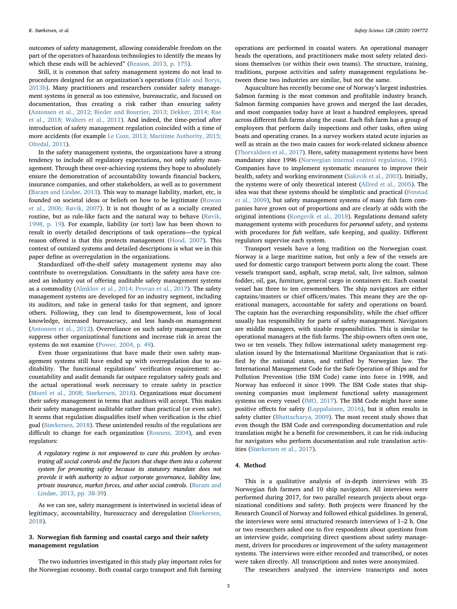outcomes of safety management, allowing considerable freedom on the part of the operators of hazardous technologies to identify the means by which these ends will be achieved" [\(Reason, 2013, p. 175\)](#page-8-8).

Still, it is common that safety management systems do not lead to procedures designed for an organization's operations ([Hale and Borys,](#page-7-20) [2013b\)](#page-7-20). Many practitioners and researchers consider safety management systems in general as too extensive, bureaucratic, and focused on documentation, thus creating a risk rather than ensuring safety ([Antonsen et al., 2012; Bieder and Bourrier, 2013; Dekker, 2014; Rae](#page-7-21) [et al., 2018; Walters et al., 2011\)](#page-7-21). And indeed, the time-period after introduction of safety management regulation coincided with a time of more accidents (for example [Le Coze, 2013; Maritime Authority, 2015;](#page-7-22) [Oltedal, 2011](#page-7-22)).

In the safety management systems, the organizations have a strong tendency to include all regulatory expectations, not only safety management. Through these over-achieving systems they hope to absolutely ensure the demonstration of accountability towards financial backers, insurance companies, and other stakeholders, as well as to government ([Baram and Lindøe, 2013](#page-7-19)). This way to manage liability, market, etc, is founded on societal ideas or beliefs on how to be legitimate [\(Rowan](#page-8-9) [et al., 2006; Røvik, 2007](#page-8-9)). It is not thought of as a socially created routine, but as rule-like facts and the natural way to behave [\(Røvik,](#page-8-10) [1998, p. 19](#page-8-10)). For example, liability (or tort) law has been shown to result in overly detailed descriptions of task operations—the typical reason offered is that this protects management ([Hood, 2007\)](#page-7-5). This context of outsized systems and detailed descriptions is what we in this paper define as overregulation in the organizations.

Standardized off-the-shelf safety management systems may also contribute to overregulation. Consultants in the safety area have created an industry out of offering auditable safety management systems as a commodity [\(Almklov et al., 2014; Provan et al., 2017](#page-7-23)). The safety management systems are developed for an industry segment, including its auditors, and take in general tasks for that segment, and ignore others. Following, they can lead to disempowerment, loss of local knowledge, increased bureaucracy, and less hands-on management ([Antonsen et al., 2012\)](#page-7-21). Overreliance on such safety management can suppress other organizational functions and increase risk in areas the systems do not examine [\(Power, 2004, p. 49\)](#page-8-11).

Even those organizations that have made their own safety management systems still have ended up with overregulation due to auditability. The functional regulations' verification requirement: accountability and audit demands far outpace regulatory safety goals and the actual operational work necessary to create safety in practice ([Morel et al., 2008; Størkersen, 2018](#page-7-24)). Organizations must document their safety management in terms that auditors will accept. This makes their safety management auditable rather than practical (or even safe). It seems that regulation disqualifies itself when verification is the chief goal ([Størkersen, 2018](#page-8-12)). These unintended results of the regulations are difficult to change for each organization ([Rosness,](#page-8-13) 2004), and even regulators:

A regulatory regime is not empowered to cure this problem by orchestrating all social controls and the factors that shape them into a coherent system for promoting safety because its statutory mandate does not provide it with authority to adjust corporate governance, liability law, private insurance, market forces, and other social controls. [\(Baram and](#page-7-19) [Lindøe, 2013, pp. 38-39](#page-7-19))

As we can see, safety management is intertwined in societal ideas of legitimacy, accountability, bureaucracy and deregulation [\(Størkersen,](#page-8-12) [2018\)](#page-8-12).

# 3. Norwegian fish farming and coastal cargo and their safety management regulation

The two industries investigated in this study play important roles for the Norwegian economy. Both coastal cargo transport and fish farming

operations are performed in coastal waters. An operational manager heads the operations, and practitioners make most safety related decisions themselves (or within their own teams). The structure, training, traditions, purpose activities and safety management regulations between these two industries are similar, but not the same.

Aquaculture has recently become one of Norway's largest industries. Salmon farming is the most common and profitable industry branch. Salmon farming companies have grown and merged the last decades, and most companies today have at least a hundred employees, spread across different fish farms along the coast. Each fish farm has a group of employees that perform daily inspections and other tasks, often using boats and operating cranes. In a survey workers stated acute injuries as well as strain as the two main causes for work-related sickness absence ([Thorvaldsen et al., 2017\)](#page-8-14). Here, safety management systems have been mandatory since 1996 ([Norwegian internal control regulation, 1996](#page-7-25)). Companies have to implement systematic measures to improve their health, safety and working environment [\(Saksvik et al., 2003](#page-8-15)). Initially, the systems were of only theoretical interest [\(Allred et al., 2005](#page-7-26)). The idea was that these systems should be simplistic and practical [\(Fenstad](#page-7-27) [et al., 2009\)](#page-7-27), but safety management systems of many fish farm companies have grown out of proportions and are clearly at odds with the original intentions ([Kongsvik et al., 2018\)](#page-7-28). Regulations demand safety management systems with procedures for personnel safety, and systems with procedures for fish welfare, safe keeping, and quality. Different regulators supervise each system.

Transport vessels have a long tradition on the Norwegian coast. Norway is a large maritime nation, but only a few of the vessels are used for domestic cargo transport between ports along the coast. These vessels transport sand, asphalt, scrap metal, salt, live salmon, salmon fodder, oil, gas, furniture, general cargo in containers etc. Each coastal vessel has three to ten crewmembers. The ship navigators are either captains/masters or chief officers/mates. This means they are the operational managers, accountable for safety and operations on board. The captain has the overarching responsibility, while the chief officer usually has responsibility for parts of safety management. Navigators are middle managers, with sizable responsibilities. This is similar to operational managers at the fish farms. The ship-owners often own one, two or ten vessels. They follow international safety management regulation issued by the International Maritime Organization that is ratified by the national states, and ratified by Norwegian law. The International Management Code for the Safe Operation of Ships and for Pollution Prevention (the ISM Code) came into force in 1998, and Norway has enforced it since 1999. The ISM Code states that shipowning companies must implement functional safety management systems on every vessel ([IMO, 2017](#page-7-29)). The ISM Code might have some positive effects for safety [\(Lappalainen, 2016\)](#page-7-30), but it often results in safety clutter ([Bhattacharya, 2009\)](#page-7-31). The most recent study shows that even though the ISM Code and corresponding documentation and rule translation might be a benefit for crewmembers, it can be risk-inducing for navigators who perform documentation and rule translation activities ([Størkersen et al., 2017\)](#page-8-0).

# 4. Method

This is a qualitative analysis of in-depth interviews with 35 Norwegian fish farmers and 10 ship navigators. All interviews were performed during 2017, for two parallel research projects about organizational conditions and safety. Both projects were financed by the Research Council of Norway and followed ethical guidelines. In general, the interviews were semi structured research interviews of 1–2 h. One or two researchers asked one to five respondents about questions from an interview guide, comprising direct questions about safety management, drivers for procedures or improvement of the safety management systems. The interviews were either recorded and transcribed, or notes were taken directly. All transcriptions and notes were anonymized.

The researchers analyzed the interview transcripts and notes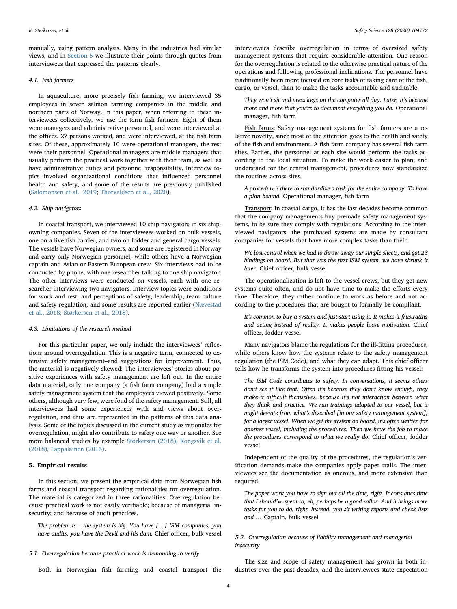manually, using pattern analysis. Many in the industries had similar views, and in [Section 5](#page-3-0) we illustrate their points through quotes from interviewees that expressed the patterns clearly.

#### 4.1. Fish farmers

In aquaculture, more precisely fish farming, we interviewed 35 employees in seven salmon farming companies in the middle and northern parts of Norway. In this paper, when referring to these interviewees collectively, we use the term fish farmers. Eight of them were managers and administrative personnel, and were interviewed at the offices. 27 persons worked, and were interviewed, at the fish farm sites. Of these, approximately 10 were operational managers, the rest were their personnel. Operational managers are middle managers that usually perform the practical work together with their team, as well as have administrative duties and personnel responsibility. Interview topics involved organizational conditions that influenced personnel health and safety, and some of the results are previously published ([Salomonsen et al., 2019](#page-8-16); [Thorvaldsen et al., 2020\)](#page-8-17).

#### 4.2. Ship navigators

In coastal transport, we interviewed 10 ship navigators in six shipowning companies. Seven of the interviewees worked on bulk vessels, one on a live fish carrier, and two on fodder and general cargo vessels. The vessels have Norwegian owners, and some are registered in Norway and carry only Norwegian personnel, while others have a Norwegian captain and Asian or Eastern European crew. Six interviews had to be conducted by phone, with one researcher talking to one ship navigator. The other interviews were conducted on vessels, each with one researcher interviewing two navigators. Interview topics were conditions for work and rest, and perceptions of safety, leadership, team culture and safety regulation, and some results are reported earlier ([Nævestad](#page-7-32) [et al., 2018; Størkersen et al., 2018\)](#page-7-32).

### 4.3. Limitations of the research method

For this particular paper, we only include the interviewees' reflections around overregulation. This is a negative term, connected to extensive safety management–and suggestions for improvement. Thus, the material is negatively skewed: The interviewees' stories about positive experiences with safety management are left out. In the entire data material, only one company (a fish farm company) had a simple safety management system that the employees viewed positively. Some others, although very few, were fond of the safety management. Still, all interviewees had some experiences with and views about overregulation, and thus are represented in the patterns of this data analysis. Some of the topics discussed in the current study as rationales for overregulation, might also contribute to safety one way or another. See more balanced studies by example [Størkersen \(2018\), Kongsvik et al.](#page-8-12) [\(2018\), Lappalainen \(2016\)](#page-8-12).

#### <span id="page-3-0"></span>5. Empirical results

In this section, we present the empirical data from Norwegian fish farms and coastal transport regarding rationalities for overregulation. The material is categorized in three rationalities: Overregulation because practical work is not easily verifiable; because of managerial insecurity; and because of audit practices.

The problem is – the system is big. You have […] ISM companies, you have audits, you have the Devil and his dam. Chief officer, bulk vessel

#### 5.1. Overregulation because practical work is demanding to verify

Both in Norwegian fish farming and coastal transport the

interviewees describe overregulation in terms of oversized safety management systems that require considerable attention. One reason for the overregulation is related to the otherwise practical nature of the operations and following professional inclinations. The personnel have traditionally been more focused on core tasks of taking care of the fish, cargo, or vessel, than to make the tasks accountable and auditable.

They won't sit and press keys on the computer all day. Later, it's become more and more that you're to document everything you do. Operational manager, fish farm

Fish farms: Safety management systems for fish farmers are a relative novelty, since most of the attention goes to the health and safety of the fish and environment. A fish farm company has several fish farm sites. Earlier, the personnel at each site would perform the tasks according to the local situation. To make the work easier to plan, and understand for the central management, procedures now standardize the routines across sites.

A procedure's there to standardize a task for the entire company. To have a plan behind. Operational manager, fish farm

Transport: In coastal cargo, it has the last decades become common that the company managements buy premade safety management systems, to be sure they comply with regulations. According to the interviewed navigators, the purchased systems are made by consultant companies for vessels that have more complex tasks than their.

We lost control when we had to throw away our simple sheets, and got 23 bindings on board. But that was the first ISM system, we have shrunk it later. Chief officer, bulk vessel

The operationalization is left to the vessel crews, but they get new systems quite often, and do not have time to make the efforts every time. Therefore, they rather continue to work as before and not according to the procedures that are bought to formally be compliant.

It's common to buy a system and just start using it. It makes it frustrating and acting instead of reality. It makes people loose motivation. Chief officer, fodder vessel

Many navigators blame the regulations for the ill-fitting procedures, while others know how the systems relate to the safety management regulation (the ISM Code), and what they can adapt. This chief officer tells how he transforms the system into procedures fitting his vessel:

The ISM Code contributes to safety. In conversations, it seems others don't see it like that. Often it's because they don't know enough, they make it difficult themselves, because it's not interaction between what they think and practice. We run trainings adapted to our vessel, but it might deviate from what's described [in our safety management system], for a larger vessel. When we get the system on board, it's often written for another vessel, including the procedures. Then we have the job to make the procedures correspond to what we really do. Chief officer, fodder vessel

Independent of the quality of the procedures, the regulation's verification demands make the companies apply paper trails. The interviewees see the documentation as onerous, and more extensive than required.

The paper work you have to sign out all the time, right. It consumes time that I should've spent to, eh, perhaps be a good sailor. And it brings more tasks for you to do, right. Instead, you sit writing reports and check lists and … Captain, bulk vessel

# 5.2. Overregulation because of liability management and managerial insecurity

The size and scope of safety management has grown in both industries over the past decades, and the interviewees state expectation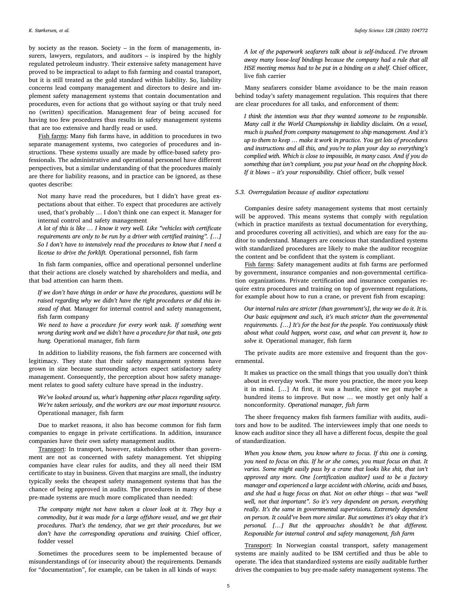by society as the reason. Society – in the form of managements, insurers, lawyers, regulators, and auditors – is inspired by the highly regulated petroleum industry. Their extensive safety management have proved to be impractical to adapt to fish farming and coastal transport, but it is still treated as the gold standard within liability. So, liability concerns lead company management and directors to desire and implement safety management systems that contain documentation and procedures, even for actions that go without saying or that truly need no (written) specification. Management fear of being accused for having too few procedures thus results in safety management systems that are too extensive and hardly read or used.

Fish farms: Many fish farms have, in addition to procedures in two separate management systems, two categories of procedures and instructions. These systems usually are made by office-based safety professionals. The administrative and operational personnel have different perspectives, but a similar understanding of that the procedures mainly are there for liability reasons, and in practice can be ignored, as these quotes describe:

Not many have read the procedures, but I didn't have great expectations about that either. To expect that procedures are actively used, that's probably … I don't think one can expect it. Manager for internal control and safety management

A lot of this is like … I know it very well. Like "vehicles with certificate requirements are only to be run by a driver with certified training". […] So I don't have to intensively read the procedures to know that I need a license to drive the forklift. Operational personnel, fish farm

In fish farm companies, office and operational personnel underline that their actions are closely watched by shareholders and media, and that bad attention can harm them.

If we don't have things in order or have the procedures, questions will be raised regarding why we didn't have the right procedures or did this instead of that. Manager for internal control and safety management, fish farm company

We need to have a procedure for every work task. If something went wrong during work and we didn't have a procedure for that task, one gets hung. Operational manager, fish farm

In addition to liability reasons, the fish farmers are concerned with legitimacy. They state that their safety management systems have grown in size because surrounding actors expect satisfactory safety management. Consequently, the perception about how safety management relates to good safety culture have spread in the industry.

We've looked around us, what's happening other places regarding safety. We're taken seriously, and the workers are our most important resource. Operational manager, fish farm

Due to market reasons, it also has become common for fish farm companies to engage in private certifications. In addition, insurance companies have their own safety management audits.

Transport: In transport, however, stakeholders other than government are not as concerned with safety management. Yet shipping companies have clear rules for audits, and they all need their ISM certificate to stay in business. Given that margins are small, the industry typically seeks the cheapest safety management systems that has the chance of being approved in audits. The procedures in many of these pre-made systems are much more complicated than needed:

The company might not have taken a closer look at it. They buy a commodity, but it was made for a large offshore vessel, and we get their procedures. That's the tendency, that we get their procedures, but we don't have the corresponding operations and training. Chief officer, fodder vessel

Sometimes the procedures seem to be implemented because of misunderstandings of (or insecurity about) the requirements. Demands for "documentation", for example, can be taken in all kinds of ways:

A lot of the paperwork seafarers talk about is self-induced. I've thrown away many loose-leaf bindings because the company had a rule that all HSE meeting memos had to be put in a binding on a shelf. Chief officer, live fish carrier

Many seafarers consider blame avoidance to be the main reason behind today's safety management regulation. This requires that there are clear procedures for all tasks, and enforcement of them:

I think the intention was that they wanted someone to be responsible. Many call it the World Championship in liability disclaim. On a vessel, much is pushed from company management to ship management. And it's up to them to keep … make it work in practice. You get lots of procedures and instructions and all this, and you're to plan your day so everything's complied with. Which is close to impossible, in many cases. And if you do something that isn't compliant, you put your head on the chopping block. If it blows – it's your responsibility. Chief officer, bulk vessel

#### 5.3. Overregulation because of auditor expectations

Companies desire safety management systems that most certainly will be approved. This means systems that comply with regulation (which in practice manifests as textual documentation for everything, and procedures covering all activities), and which are easy for the auditor to understand. Managers are conscious that standardized systems with standardized procedures are likely to make the auditor recognize the content and be confident that the system is compliant.

Fish farms: Safety management audits at fish farms are performed by government, insurance companies and non-governmental certification organizations. Private certification and insurance companies require extra procedures and training on top of government regulations, for example about how to run a crane, or prevent fish from escaping:

Our internal rules are stricter [than government's], the way we do it. It is. Our basic equipment and such, it's much stricter than the governmental requirements. […] It's for the best for the people. You continuously think about what could happen, worst case, and what can prevent it, how to solve it. Operational manager, fish farm

The private audits are more extensive and frequent than the governmental.

It makes us practice on the small things that you usually don't think about in everyday work. The more you practice, the more you keep it in mind. […] At first, it was a hustle, since we got maybe a hundred items to improve. But now … we mostly get only half a nonconformity. Operational manager, fish farm

The sheer frequency makes fish farmers familiar with audits, auditors and how to be audited. The interviewees imply that one needs to know each auditor since they all have a different focus, despite the goal of standardization.

When you know them, you know where to focus. If this one is coming, you need to focus on this. If he or she comes, you must focus on that. It varies. Some might easily pass by a crane that looks like shit, that isn't approved any more. One [certification auditor] used to be a factory manager and experienced a large accident with chlorine, acids and bases, and she had a huge focus on that. Not on other things – that was "well well, not that important". So it's very dependent on person, everything really. It's the same in governmental supervisions. Extremely dependent on person. It could've been more similar. But sometimes it's okay that it's personal. […] But the approaches shouldn't be that different. Responsible for internal control and safety management, fish farm

Transport: In Norwegian coastal transport, safety management systems are mainly audited to be ISM certified and thus be able to operate. The idea that standardized systems are easily auditable further drives the companies to buy pre-made safety management systems. The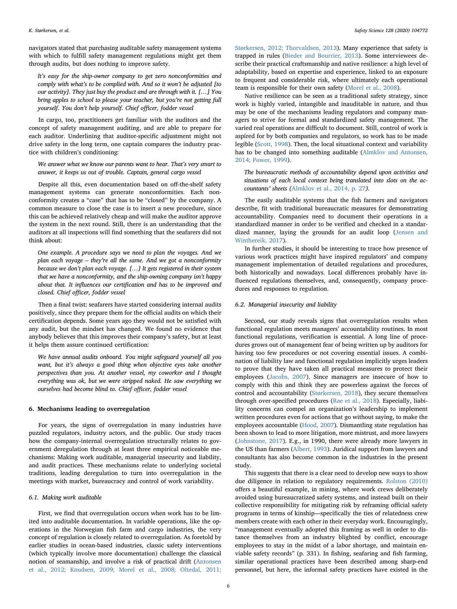navigators stated that purchasing auditable safety management systems with which to fulfill safety management regulations might get them through audits, but does nothing to improve safety.

It's easy for the ship-owner company to get zero nonconformities and comply with what's to be complied with. And so it won't be adjusted [to our activity]. They just buy the product and are through with it. […] You bring apples to school to please your teacher, but you're not getting full yourself. You don't help yourself. Chief officer, fodder vessel

In cargo, too, practitioners get familiar with the auditors and the concept of safety management auditing, and are able to prepare for each auditor. Underlining that auditor-specific adjustment might not drive safety in the long term, one captain compares the industry practice with children's conditioning:

We answer what we know our parents want to hear. That's very smart to answer, it keeps us out of trouble. Captain, general cargo vessel

Despite all this, even documentation based on off-the-shelf safety management systems can generate nonconformities. Each nonconformity creates a "case" that has to be "closed" by the company. A common measure to close the case is to insert a new procedure, since this can be achieved relatively cheap and will make the auditor approve the system in the next round. Still, there is an understanding that the auditors at all inspections will find something that the seafarers did not think about:

One example. A procedure says we need to plan the voyages. And we plan each voyage – they're all the same. And we got a nonconformity because we don't plan each voyage. […] It gets registered in their system that we have a nonconformity, and the ship-owning company isn't happy about that. It influences our certification and has to be improved and closed. Chief officer, fodder vessel

Then a final twist: seafarers have started considering internal audits positively, since they prepare them for the official audits on which their certification depends. Some years ago they would not be satisfied with any audit, but the mindset has changed. We found no evidence that anybody believes that this improves their company's safety, but at least it helps them assure continued certification:

We have annual audits onboard. You might safeguard yourself all you want, but it's always a good thing when objective eyes take another perspectives than you. At another vessel, my coworker and I thought everything was ok, but we were stripped naked. He saw everything we ourselves had become blind to. Chief officer, fodder vessel

# 6. Mechanisms leading to overregulation

For years, the signs of overregulation in many industries have puzzled regulators, industry actors, and the public. Our study traces how the company-internal overregulation structurally relates to government deregulation through at least three empirical noticeable mechanisms: Making work auditable, managerial insecurity and liability, and audit practices. These mechanisms relate to underlying societal traditions, leading deregulation to turn into overregulation in the meetings with market, bureaucracy and control of work variability.

# 6.1. Making work auditable

First, we find that overregulation occurs when work has to be limited into auditable documentation. In variable operations, like the operations in the Norwegian fish farm and cargo industries, the very concept of regulation is closely related to overregulation. As foretold by earlier studies in ocean-based industries, classic safety interventions (which typically involve more documentation) challenge the classical notion of seamanship, and involve a risk of practical drift ([Antonsen](#page-7-21) [et al., 2012; Knudsen, 2009; Morel et al., 2008; Oltedal, 2011;](#page-7-21)

[Størkersen, 2012; Thorvaldsen, 2013](#page-7-21)). Many experience that safety is trapped in rules [\(Bieder and Bourrier, 2013](#page-7-0)). Some interviewees describe their practical craftsmanship and native resilience: a high level of adaptability, based on expertise and experience, linked to an exposure to frequent and considerable risk, where ultimately each operational team is responsible for their own safety ([Morel et al., 2008\)](#page-7-24).

Native resilience can be seen as a traditional safety strategy, since work is highly varied, intangible and inauditable in nature, and thus may be one of the mechanisms leading regulators and company managers to strive for formal and standardized safety management. The varied real operations are difficult to document. Still, control of work is aspired for by both companies and regulators, so work has to be made legible [\(Scott, 1998\)](#page-8-5). Then, the local situational context and variability has to be changed into something auditable ([Almklov and Antonsen,](#page-7-33) [2014; Power, 1999\)](#page-7-33).

The bureaucratic methods of accountability depend upon activities and situations of each local context being translated into slots on the accountants' sheets ([Almklov et al., 2014, p. 27](#page-7-23)).

The easily auditable systems that the fish farmers and navigators describe, fit with traditional bureaucratic measures for demonstrating accountability. Companies need to document their operations in a standardized manner in order to be verified and checked in a standardized manner, laying the grounds for an audit loop ([Jensen and](#page-7-13) [Winthereik, 2017\)](#page-7-13).

In further studies, it should be interesting to trace how presence of various work practices might have inspired regulators' and company management implementation of detailed regulations and procedures, both historically and nowadays. Local differences probably have influenced regulations themselves, and, consequently, company procedures and responses to regulation.

## 6.2. Managerial insecurity and liability

Second, our study reveals signs that overregulation results when functional regulation meets managers' accountability routines. In most functional regulations, verification is essential. A long line of procedures grows out of management fear of being written up by auditors for having too few procedures or not covering essential issues. A combination of liability law and functional regulation implicitly urges leaders to prove that they have taken all practical measures to protect their employees [\(Jacobs, 2007](#page-7-8)). Since managers are insecure of how to comply with this and think they are powerless against the forces of control and accountability ([Størkersen, 2018](#page-8-12)), they secure themselves through over-specified procedures [\(Rae et al., 2018](#page-8-18)). Especially, liability concerns can compel an organization's leadership to implement written procedures even for actions that go without saying, to make the employees accountable ([Hood, 2007\)](#page-7-5). Dismantling state regulation has been shown to lead to more litigation, more mistrust, and more lawyers ([Johnstone, 2017\)](#page-7-34). E.g., in 1990, there were already more lawyers in the US than farmers [\(Albert, 1993\)](#page-7-35). Juridical support from lawyers and consultants has also become common in the industries in the present study.

This suggests that there is a clear need to develop new ways to show due diligence in relation to regulatory requirements. [Rolston \(2010\)](#page-8-19) offers a beautiful example, in mining, where work crews deliberately avoided using bureaucratized safety systems, and instead built on their collective responsibility for mitigating risk by reframing official safety programs in terms of kinship—specifically the ties of relatedness crew members create with each other in their everyday work. Encouragingly, "management eventually adopted this framing as well in order to distance themselves from an industry blighted by conflict, encourage employees to stay in the midst of a labor shortage, and maintain enviable safety records" (p. 331). In fishing, seafaring and fish farming, similar operational practices have been described among sharp-end personnel, but here, the informal safety practices have existed in the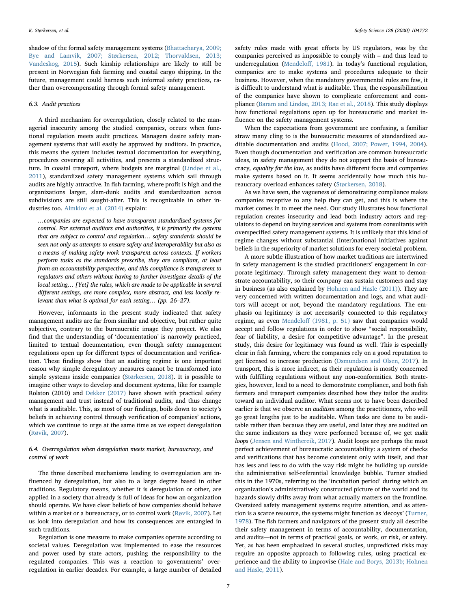shadow of the formal safety management systems [\(Bhattacharya, 2009;](#page-7-31) [Bye and Lamvik, 2007; Størkersen, 2012; Thorvaldsen, 2013;](#page-7-31) [Vandeskog, 2015\)](#page-7-31). Such kinship relationships are likely to still be present in Norwegian fish farming and coastal cargo shipping. In the future, management could harness such informal safety practices, rather than overcompensating through formal safety management.

# 6.3. Audit practices

A third mechanism for overregulation, closely related to the managerial insecurity among the studied companies, occurs when functional regulation meets audit practices. Managers desire safety management systems that will easily be approved by auditors. In practice, this means the system includes textual documentation for everything, procedures covering all activities, and presents a standardized structure. In coastal transport, where budgets are marginal ([Lindøe et al.,](#page-7-36) [2011\)](#page-7-36), standardized safety management systems which sail through audits are highly attractive. In fish farming, where profit is high and the organizations larger, slam-dunk audits and standardization across subdivisions are still sought-after. This is recognizable in other industries too. [Almklov et al. \(2014\)](#page-7-23) explain:

…companies are expected to have transparent standardized systems for control. For external auditors and authorities, it is primarily the systems that are subject to control and regulation… safety standards should be seen not only as attempts to ensure safety and interoperability but also as a means of making safety work transparent across contexts. If workers perform tasks as the standards prescribe, they are compliant, at least from an accountability perspective, and this compliance is transparent to regulators and others without having to further investigate details of the local setting… [Yet] the rules, which are made to be applicable in several different settings, are more complex, more abstract, and less locally relevant than what is optimal for each setting… (pp. 26–27).

However, informants in the present study indicated that safety management audits are far from similar and objective, but rather quite subjective, contrary to the bureaucratic image they project. We also find that the understanding of 'documentation' is narrowly practiced, limited to textual documentation, even though safety management regulations open up for different types of documentation and verification. These findings show that an auditing regime is one important reason why simple deregulatory measures cannot be transformed into simple systems inside companies ([Størkersen, 2018\)](#page-8-12). It is possible to imagine other ways to develop and document systems, like for example Rolston (2010) and [Dekker \(2017\)](#page-7-10) have shown with practical safety management and trust instead of traditional audits, and thus change what is auditable. This, as most of our findings, boils down to society's beliefs in achieving control through verification of companies' actions, which we continue to urge at the same time as we expect deregulation ([Røvik, 2007\)](#page-8-4).

# 6.4. Overregulation when deregulation meets market, bureaucracy, and control of work

The three described mechanisms leading to overregulation are influenced by deregulation, but also to a large degree based in other traditions. Regulatory means, whether it is deregulation or other, are applied in a society that already is full of ideas for how an organization should operate. We have clear beliefs of how companies should behave within a market or a bureaucracy, or to control work ([Røvik, 2007\)](#page-8-4). Let us look into deregulation and how its consequences are entangled in such traditions.

Regulation is one measure to make companies operate according to societal values. Deregulation was implemented to ease the resources and power used by state actors, pushing the responsibility to the regulated companies. This was a reaction to governments' overregulation in earlier decades. For example, a large number of detailed safety rules made with great efforts by US regulators, was by the companies perceived as impossible to comply with – and thus lead to underregulation [\(Mendelo](#page-7-37)ff, 1981). In today's functional regulation, companies are to make systems and procedures adequate to their business. However, when the mandatory governmental rules are few, it is difficult to understand what is auditable. Thus, the responsibilization of the companies have shown to complicate enforcement and compliance [\(Baram and Lindøe, 2013; Rae et al., 2018](#page-7-19)). This study displays how functional regulations open up for bureaucratic and market influence on the safety management systems.

When the expectations from government are confusing, a familiar straw many cling to is the bureaucratic measures of standardized auditable documentation and audits ([Hood, 2007; Power, 1994, 2004](#page-7-5)). Even though documentation and verification are common bureaucratic ideas, in safety management they do not support the basis of bureaucracy, equality for the law, as audits have different focus and companies make systems based on it. It seems accidentally how much this bureaucracy overload enhances safety ([Størkersen, 2018\)](#page-8-12).

As we have seen, the vagueness of demonstrating compliance makes companies receptive to any help they can get, and this is where the market comes in to meet the need. Our study illustrates how functional regulation creates insecurity and lead both industry actors and regulators to depend on buying services and systems from consultants with overspecified safety management systems. It is unlikely that this kind of regime changes without substantial (inter)national initiatives against beliefs in the superiority of market solutions for every societal problem.

A more subtle illustration of how market traditions are intertwined in safety management is the studied practitioners' engagement in corporate legitimacy. Through safety management they want to demonstrate accountability, so their company can sustain customers and stay in business (as also explained by [Hohnen and Hasle \(2011\)](#page-7-14)). They are very concerned with written documentation and logs, and what auditors will accept or not, beyond the mandatory regulations. The emphasis on legitimacy is not necessarily connected to this regulatory regime, as even Mendeloff [\(1981, p. 51\)](#page-7-37) saw that companies would accept and follow regulations in order to show "social responsibility, fear of liability, a desire for competitive advantage". In the present study, this desire for legitimacy was found as well. This is especially clear in fish farming, where the companies rely on a good reputation to get licensed to increase production ([Osmundsen and Olsen, 2017](#page-7-38)). In transport, this is more indirect, as their regulation is mostly concerned with fulfilling regulations without any non-conformities. Both strategies, however, lead to a need to demonstrate compliance, and both fish farmers and transport companies described how they tailor the audits toward an individual auditor. What seems not to have been described earlier is that we observe an auditism among the practitioners, who will go great lengths just to be auditable. When tasks are done to be auditable rather than because they are useful, and later they are audited on the same indicators as they were performed because of, we get audit loops [\(Jensen and Winthereik, 2017\)](#page-7-13). Audit loops are perhaps the most perfect achievement of bureaucratic accountability: a system of checks and verifications that has become consistent only with itself, and that has less and less to do with the way risk might be building up outside the administrative self-referential knowledge bubble. Turner studied this in the 1970s, referring to the 'incubation period' during which an organization's administratively constructed picture of the world and its hazards slowly drifts away from what actually matters on the frontline. Oversized safety management systems require attention, and as attention is a scarce resource, the systems might function as 'decoys' [\(Turner,](#page-8-20) [1978\)](#page-8-20). The fish farmers and navigators of the present study all describe their safety management in terms of accountability, documentation, and audits—not in terms of practical goals, or work, or risk, or safety. Yet, as has been emphasized in several studies, unpredicted risks may require an opposite approach to following rules, using practical experience and the ability to improvise ([Hale and Borys, 2013b; Hohnen](#page-7-20) [and Hasle, 2011\)](#page-7-20).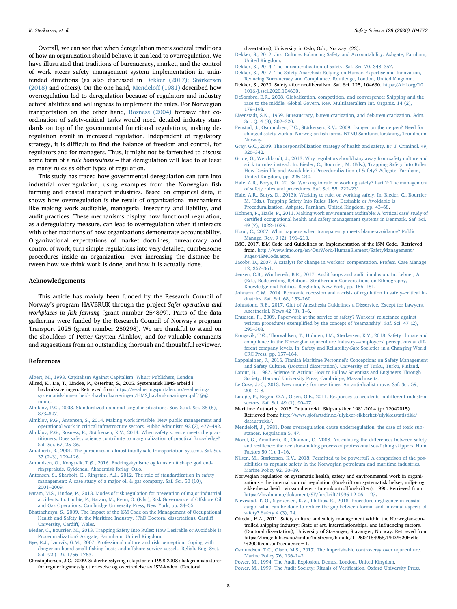Overall, we can see that when deregulation meets societal traditions of how an organization should behave, it can lead to overregulation. We have illustrated that traditions of bureaucracy, market, and the control of work steers safety management system implementation in unintended directions (as also discussed in [Dekker \(2017\); Størkersen](#page-7-10) [\(2018\)](#page-7-10) and others). On the one hand, [Mendelo](#page-7-37)ff (1981) described how overregulation led to deregulation because of regulators and industry actors' abilities and willingness to implement the rules. For Norwegian transportation on the other hand, [Rosness \(2004\)](#page-8-13) foresaw that coordination of safety-critical tasks would need detailed industry standards on top of the governmental functional regulations, making deregulation result in increased regulation. Independent of regulatory strategy, it is difficult to find the balance of freedom and control, for regulators and for managers. Thus, it might not be farfetched to discuss some form of a rule homeostasis – that deregulation will lead to at least as many rules as other types of regulation.

This study has traced how governmental deregulation can turn into industrial overregulation, using examples from the Norwegian fish farming and coastal transport industries. Based on empirical data, it shows how overregulation is the result of organizational mechanisms like making work auditable, managerial insecurity and liability, and audit practices. These mechanisms display how functional regulation, as a deregulatory measure, can lead to overregulation when it interacts with other traditions of how organizations demonstrate accountability. Organizational expectations of market doctrines, bureaucracy and control of work, turn simple regulations into very detailed, cumbersome procedures inside an organization—ever increasing the distance between how we think work is done, and how it is actually done.

#### Acknowledgements

This article has mainly been funded by the Research Council of Norway's program HAVBRUK through the project Safer operations and workplaces in fish farming (grant number 254899). Parts of the data gathering were funded by the Research Council of Norway's program Transport 2025 (grant number 250298). We are thankful to stand on the shoulders of Petter Grytten Almklov, and for valuable comments and suggestions from an outstanding thorough and thoughtful reviewer.

#### References

- <span id="page-7-35"></span>[Albert, M., 1993. Capitalism Against Capitalism. Whurr Publishers, London](http://refhub.elsevier.com/S0925-7535(20)30169-7/h0005).
- <span id="page-7-26"></span>Allred, K., Lie, T., Lindøe, P., Østerhus, S., 2005. Systematisk HMS-arbeid i havbruksnæringen. Retrieved from [https://evalueringsportalen.no/evaluering/](https://evalueringsportalen.no/evaluering/systematisk-hms-arbeid-i-havbruksnaeringen/HMS_havbruknaaringen.pdf/%40%40inline) [systematisk-hms-arbeid-i-havbruksnaeringen/HMS\\_havbruknaaringen.pdf/@@](https://evalueringsportalen.no/evaluering/systematisk-hms-arbeid-i-havbruksnaeringen/HMS_havbruknaaringen.pdf/%40%40inline) [inline.](https://evalueringsportalen.no/evaluering/systematisk-hms-arbeid-i-havbruksnaeringen/HMS_havbruknaaringen.pdf/%40%40inline)
- <span id="page-7-15"></span>[Almklov, P.G., 2008. Standardized data and singular situations. Soc. Stud. Sci. 38 \(6\),](http://refhub.elsevier.com/S0925-7535(20)30169-7/h0015) 873–[897](http://refhub.elsevier.com/S0925-7535(20)30169-7/h0015).
- <span id="page-7-33"></span>[Almklov, P.G., Antonsen, S., 2014. Making work invisible: New public management and](http://refhub.elsevier.com/S0925-7535(20)30169-7/h0020) [operational work in critical infrastructure sectors. Public Administr. 92 \(2\), 477](http://refhub.elsevier.com/S0925-7535(20)30169-7/h0020)–492.
- <span id="page-7-23"></span>[Almklov, P.G., Rosness, R., Størkersen, K.V., 2014. When safety science meets the prac](http://refhub.elsevier.com/S0925-7535(20)30169-7/h0025)[titioners: Does safety science contribute to marginalization of practical knowledge?](http://refhub.elsevier.com/S0925-7535(20)30169-7/h0025) [Saf. Sci. 67, 25](http://refhub.elsevier.com/S0925-7535(20)30169-7/h0025)–36.
- <span id="page-7-3"></span>[Amalberti, R., 2001. The paradoxes of almost totally safe transportation systems. Saf. Sci.](http://refhub.elsevier.com/S0925-7535(20)30169-7/h0030) 37 (2–[3\), 109](http://refhub.elsevier.com/S0925-7535(20)30169-7/h0030)–126.
- <span id="page-7-16"></span>[Amundsen, O., Kongsvik, T.Ø., 2016. Endringskynisme og kunsten å skape god end](http://refhub.elsevier.com/S0925-7535(20)30169-7/h0035)[ringspraksis. Gyldendal Akademisk forlag, Oslo](http://refhub.elsevier.com/S0925-7535(20)30169-7/h0035).
- <span id="page-7-21"></span>[Antonsen, S., Skarholt, K., Ringstad, A.J., 2012. The role of standardization in safety](http://refhub.elsevier.com/S0925-7535(20)30169-7/h0040) [management: A case study of a major oil & gas company. Saf. Sci. 50 \(10\),](http://refhub.elsevier.com/S0925-7535(20)30169-7/h0040) [2001](http://refhub.elsevier.com/S0925-7535(20)30169-7/h0040)–2009.
- <span id="page-7-19"></span>[Baram, M.S., Lindøe, P., 2013. Modes of risk regulation for prevention of major industrial](http://refhub.elsevier.com/S0925-7535(20)30169-7/h0045) [accidents. In: Lindøe, P., Baram, M., Renn, O. \(Eds.\), Risk Governance of O](http://refhub.elsevier.com/S0925-7535(20)30169-7/h0045)ffshore Oil [and Gas Operations. Cambridge University Press, New York, pp. 34](http://refhub.elsevier.com/S0925-7535(20)30169-7/h0045)–55.
- <span id="page-7-31"></span>[Bhattacharya, S., 2009. The Impact of the ISM Code on the Management of Occupational](http://refhub.elsevier.com/S0925-7535(20)30169-7/h0050) [Health and Safety in the Maritime Industry. \(PhD Doctoral dissertation\). Cardi](http://refhub.elsevier.com/S0925-7535(20)30169-7/h0050)ff [University, Cardi](http://refhub.elsevier.com/S0925-7535(20)30169-7/h0050)ff, Wales.
- <span id="page-7-0"></span>[Bieder, C., Bourrier, M., 2013. Trapping Safety Into Rules: How Desirable or Avoidable is](http://refhub.elsevier.com/S0925-7535(20)30169-7/h0055) [Proceduralization? Ashgate, Farnnham, United Kingdom](http://refhub.elsevier.com/S0925-7535(20)30169-7/h0055).
- [Bye, R.J., Lamvik, G.M., 2007. Professional culture and risk perception: Coping with](http://refhub.elsevier.com/S0925-7535(20)30169-7/h0060) danger on board small fishing boats and off[shore service vessels. Reliab. Eng. Syst.](http://refhub.elsevier.com/S0925-7535(20)30169-7/h0060) [Saf. 92 \(12\), 1756](http://refhub.elsevier.com/S0925-7535(20)30169-7/h0060)–1763.
- <span id="page-7-4"></span>Christophersen, J.G., 2009. Sikkerhetsstyring i skipsfarten 1998-2008 : bakgrunnsfaktorer for reguleringsmessig etterlevelse og overtredelse av ISM-koden. (Doctoral

dissertation), University in Oslo, Oslo, Norway. (22).

- <span id="page-7-11"></span>[Dekker, S., 2012. Just Culture: Balancing Safety and Accountability. Ashgate, Farnham,](http://refhub.elsevier.com/S0925-7535(20)30169-7/h0070) [United Kingdom](http://refhub.elsevier.com/S0925-7535(20)30169-7/h0070).
- [Dekker, S., 2014. The bureaucratization of safety. Saf. Sci. 70, 348](http://refhub.elsevier.com/S0925-7535(20)30169-7/h0075)–357.
- <span id="page-7-10"></span>[Dekker, S., 2017. The Safety Anarchist: Relying on Human Expertise and Innovation,](http://refhub.elsevier.com/S0925-7535(20)30169-7/h0080) [Reducing Bureaucracy and Compliance. Routledge, London, United Kingdom.](http://refhub.elsevier.com/S0925-7535(20)30169-7/h0080)
- Dekker, S., 2020. Safety after neoliberalism. Saf. Sci. 125, 104630. [https://doi.org/10.](https://doi.org/10.1016/j.ssci.2020.104630) [1016/j.ssci.2020.104630](https://doi.org/10.1016/j.ssci.2020.104630).
- <span id="page-7-7"></span>[DeSombre, E.R., 2008. Globalization, competition, and convergence: Shipping and the](http://refhub.elsevier.com/S0925-7535(20)30169-7/h0090) [race to the middle. Global Govern. Rev. Multilateralism Int. Organiz. 14 \(2\),](http://refhub.elsevier.com/S0925-7535(20)30169-7/h0090) 179–[198](http://refhub.elsevier.com/S0925-7535(20)30169-7/h0090).
- <span id="page-7-12"></span>[Eisenstadt, S.N., 1959. Bureaucracy, bureaucratization, and debureaucratization. Adm.](http://refhub.elsevier.com/S0925-7535(20)30169-7/h0095) [Sci. Q. 4 \(3\), 302](http://refhub.elsevier.com/S0925-7535(20)30169-7/h0095)–320.
- <span id="page-7-27"></span>[Fenstad, J., Osmundsen, T.C., Størkersen, K.V., 2009. Danger on the netpen? Need for](http://refhub.elsevier.com/S0925-7535(20)30169-7/h0100) changed safety work at Norwegian fi[sh farms. NTNU Samfunnsforskning, Trondheim,](http://refhub.elsevier.com/S0925-7535(20)30169-7/h0100) [Norway.](http://refhub.elsevier.com/S0925-7535(20)30169-7/h0100)
- <span id="page-7-9"></span>Gray, [G.C., 2009. The responsibilization strategy of health and safety. Br. J. Criminol. 49,](http://refhub.elsevier.com/S0925-7535(20)30169-7/h0105) 326–[342](http://refhub.elsevier.com/S0925-7535(20)30169-7/h0105).
- <span id="page-7-6"></span>[Grote, G., Weichbrodt, J., 2013. Why regulators should stay away from safety culture and](http://refhub.elsevier.com/S0925-7535(20)30169-7/h0110) [stick to rules instead. In: Bieder, C., Bourrier, M. \(Eds.\), Trapping Safety Into Rules:](http://refhub.elsevier.com/S0925-7535(20)30169-7/h0110) [How Desirable and Avoidable is Proceduralization of Safety? Ashgate, Farnham,](http://refhub.elsevier.com/S0925-7535(20)30169-7/h0110) [United Kingdom, pp. 225](http://refhub.elsevier.com/S0925-7535(20)30169-7/h0110)–240.
- <span id="page-7-17"></span>[Hale, A.R., Borys, D., 2013a. Working to rule or working safely? Part 2: The management](http://refhub.elsevier.com/S0925-7535(20)30169-7/h0115) [of safety rules and procedures. Saf. Sci. 55, 222](http://refhub.elsevier.com/S0925-7535(20)30169-7/h0115)–231.
- <span id="page-7-20"></span>[Hale, A.R., Borys, D., 2013b. Working to rule, or working safely. In: Bieder, C., Bourrier,](http://refhub.elsevier.com/S0925-7535(20)30169-7/h0120) [M. \(Eds.\), Trapping Safety Into Rules. How Desirable or Avoidable is](http://refhub.elsevier.com/S0925-7535(20)30169-7/h0120) [Proceduralization. Ashgate, Farnham, United Kingdom, pp. 43](http://refhub.elsevier.com/S0925-7535(20)30169-7/h0120)–68.
- <span id="page-7-14"></span>[Hohnen, P., Hasle, P., 2011. Making work environment auditable: A](http://refhub.elsevier.com/S0925-7535(20)30169-7/h0125) 'critical case' study of certifi[ed occupational health and safety management systems in Denmark. Saf. Sci.](http://refhub.elsevier.com/S0925-7535(20)30169-7/h0125) [49 \(7\), 1022](http://refhub.elsevier.com/S0925-7535(20)30169-7/h0125)–1029.
- <span id="page-7-5"></span>[Hood, C., 2007. What happens when transparency meets blame-avoidance? Public](http://refhub.elsevier.com/S0925-7535(20)30169-7/h0135) [Manage. Rev. 9 \(2\), 191](http://refhub.elsevier.com/S0925-7535(20)30169-7/h0135)–210.
- <span id="page-7-29"></span>IMO, 2017. ISM Code and Guidelines on Implementation of the ISM Code. Retrieved from. [http://www.imo.org/en/OurWork/HumanElement/SafetyManagement/](http://www.imo.org/en/OurWork/HumanElement/SafetyManagement/Pages/ISMCode.aspx) [Pages/ISMCode.aspx](http://www.imo.org/en/OurWork/HumanElement/SafetyManagement/Pages/ISMCode.aspx).
- <span id="page-7-8"></span>[Jacobs, D., 2007. A catalyst for change in workers](http://refhub.elsevier.com/S0925-7535(20)30169-7/h0145)' compensation. Profess. Case Manage. [12, 357](http://refhub.elsevier.com/S0925-7535(20)30169-7/h0145)–361.
- <span id="page-7-13"></span>[Jensen, C.B., Winthereik, B.R., 2017. Audit loops and audit implosion. In: Lebner, A.](http://refhub.elsevier.com/S0925-7535(20)30169-7/h0150) [\(Ed.\), Redescribing Relations: Strathernian Conversations on Ethnography,](http://refhub.elsevier.com/S0925-7535(20)30169-7/h0150) [Knowledge and Politics. Berghahn, New York, pp. 155](http://refhub.elsevier.com/S0925-7535(20)30169-7/h0150)–181.
- [Johnson, C.W., 2014. Economic recession and a crisis of regulation in safety](http://refhub.elsevier.com/S0925-7535(20)30169-7/h0155)–critical in[dustries. Saf. Sci. 68, 153](http://refhub.elsevier.com/S0925-7535(20)30169-7/h0155)–160.
- <span id="page-7-34"></span>[Johnstone, R.E., 2017. Glut of Anesthesia Guidelines a Disservice, Except for Lawyers.](http://refhub.elsevier.com/S0925-7535(20)30169-7/h0160) [Anesthesiol. News 42 \(3\), 1](http://refhub.elsevier.com/S0925-7535(20)30169-7/h0160)–6.
- [Knudsen, F., 2009. Paperwork at the service of safety? Workers](http://refhub.elsevier.com/S0925-7535(20)30169-7/h0165)' reluctance against [written procedures exempli](http://refhub.elsevier.com/S0925-7535(20)30169-7/h0165)fied by the concept of 'seamanship'. Saf. Sci. 47 (2), 295–[303](http://refhub.elsevier.com/S0925-7535(20)30169-7/h0165).
- <span id="page-7-28"></span>[Kongsvik, T.Ø., Thorvaldsen, T., Holmen, I.M., Størkersen, K.V., 2018. Safety climate and](http://refhub.elsevier.com/S0925-7535(20)30169-7/h0170) [compliance in the Norwegian aquaculture industry](http://refhub.elsevier.com/S0925-7535(20)30169-7/h0170)—employees' perceptions at dif[ferent company levels. In: Safety and Reliability-Safe Societies in a Changing World.](http://refhub.elsevier.com/S0925-7535(20)30169-7/h0170) [CRC Press, pp. 157](http://refhub.elsevier.com/S0925-7535(20)30169-7/h0170)–164.
- <span id="page-7-30"></span>[Lappalainen, J., 2016. Finnish Maritime Personnel's Conceptions on Safety Management](http://refhub.elsevier.com/S0925-7535(20)30169-7/h0175) [and Safety Culture. \(Doctoral dissertation\). University of Turku, Turku, Finland](http://refhub.elsevier.com/S0925-7535(20)30169-7/h0175).
- [Latour, B., 1987. Science in Action: How to Follow Scientists and Engineers Through](http://refhub.elsevier.com/S0925-7535(20)30169-7/h0180) [Society. Harvard University Press, Cambridge, Massachusetts](http://refhub.elsevier.com/S0925-7535(20)30169-7/h0180).
- <span id="page-7-22"></span>Le [Coze, J.-C., 2013. New models for new times. An anti-dualist move. Saf. Sci. 59,](http://refhub.elsevier.com/S0925-7535(20)30169-7/h0185) 200–[218](http://refhub.elsevier.com/S0925-7535(20)30169-7/h0185).
- <span id="page-7-36"></span>[Lindøe, P., Engen, O.A., Olsen, O.E., 2011. Responses to accidents in di](http://refhub.elsevier.com/S0925-7535(20)30169-7/h0190)fferent industrial [sectors. Saf. Sci. 49 \(1\), 90](http://refhub.elsevier.com/S0925-7535(20)30169-7/h0190)–97.

Maritime Authority, 2015. Datauttrekk. Skipsulykker 1981-2014 (pr 12042015). Retrieved from: [http://www.sjofartsdir.no/ulykker-sikkerhet/ulykkesstatistikk/](http://www.sjofartsdir.no/ulykker-sikkerhet/ulykkesstatistikk/datauttrekk/) [datauttrekk/](http://www.sjofartsdir.no/ulykker-sikkerhet/ulykkesstatistikk/datauttrekk/).

- <span id="page-7-37"></span>Mendeloff[, J., 1981. Does overregulation cause underregulation: the case of toxic sub](http://refhub.elsevier.com/S0925-7535(20)30169-7/h0200)[stances. Regulation 5, 47.](http://refhub.elsevier.com/S0925-7535(20)30169-7/h0200)
- <span id="page-7-24"></span>[Morel, G., Amalberti, R., Chauvin, C., 2008. Articulating the di](http://refhub.elsevier.com/S0925-7535(20)30169-7/h0205)fferences between safety [and resilience: the decision-making process of professional sea-](http://refhub.elsevier.com/S0925-7535(20)30169-7/h0205)fishing skippers. Hum. [Factors 50 \(1\), 1](http://refhub.elsevier.com/S0925-7535(20)30169-7/h0205)–16.
- <span id="page-7-1"></span>[Nilsen, M., Størkersen, K.V., 2018. Permitted to be powerful? A comparison of the pos](http://refhub.elsevier.com/S0925-7535(20)30169-7/h0210)[sibilities to regulate safety in the Norwegian petroleum and maritime industries.](http://refhub.elsevier.com/S0925-7535(20)30169-7/h0210) [Marine Policy 92, 30](http://refhub.elsevier.com/S0925-7535(20)30169-7/h0210)–39.
- <span id="page-7-25"></span>Norwegian regulation on systematic health, safety and environmental work in organizations - the internal control regulation (Forskrift om systematisk helse-, miljø- og sikkerhetsarbeid i virksomheter - Internkontrollforskriften), 1996. Retrieved from: <https://lovdata.no/dokument/SF/forskrift/1996-12-06-1127>.
- <span id="page-7-32"></span>[Nævestad, T.-O., Størkersen, K.V., Phillips, R., 2018. Procedure negligence in coastal](http://refhub.elsevier.com/S0925-7535(20)30169-7/h0220) [cargo: what can be done to reduce the gap between formal and informal aspects of](http://refhub.elsevier.com/S0925-7535(20)30169-7/h0220) [safety? Safety 4 \(3\), 34.](http://refhub.elsevier.com/S0925-7535(20)30169-7/h0220)
- Oltedal, H.A., 2011. Safety culture and safety management within the Norwegian-controlled shipping industry: State of art, interrelationships, and influencing factors. (Doctoral dissertation), University of Stavanger, Stavanger, Norway. Retrieved from https://brage.bibsys.no/xmlui/bitstream/handle/11250/184968/PhD,%20Helle %20Oltedal.pdf?sequence=1.
- <span id="page-7-38"></span>[Osmundsen, T.C., Olsen, M.S., 2017. The imperishable controversy over aquaculture.](http://refhub.elsevier.com/S0925-7535(20)30169-7/h0230) [Marine Policy 76, 136](http://refhub.elsevier.com/S0925-7535(20)30169-7/h0230)–142.

<span id="page-7-18"></span>[Power, M., 1994. The Audit Explosion. Demos, London, United Kingdom](http://refhub.elsevier.com/S0925-7535(20)30169-7/h0235).

<span id="page-7-2"></span>[Power, M., 1999. The Audit Society: Rituals of Veri](http://refhub.elsevier.com/S0925-7535(20)30169-7/h0240)fication. Oxford University Press,